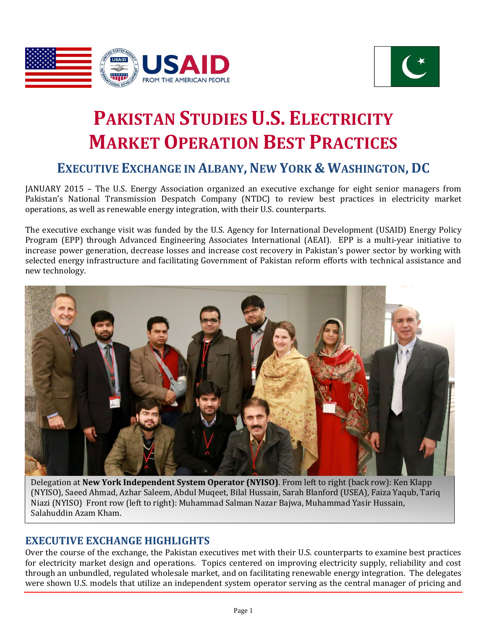



# **PAKISTAN STUDIES U.S. ELECTRICITY MARKET OPERATION BEST PRACTICES**

## **EXECUTIVE EXCHANGE IN ALBANY, NEW YORK & WASHINGTON, DC**

JANUARY 2015 – The U.S. Energy Association organized an executive exchange for eight senior managers from Pakistan's National Transmission Despatch Company (NTDC) to review best practices in electricity market operations, as well as renewable energy integration, with their U.S. counterparts.

The executive exchange visit was funded by the U.S. Agency for International Development (USAID) Energy Policy Program (EPP) through Advanced Engineering Associates International (AEAI). EPP is a multi-year initiative to increase power generation, decrease losses and increase cost recovery in Pakistan's power sector by working with selected energy infrastructure and facilitating Government of Pakistan reform efforts with technical assistance and new technology.



Delegation at **New York Independent System Operator (NYISO)**. From left to right (back row): Ken Klapp (NYISO), Saeed Ahmad, Azhar Saleem, Abdul Muqeet, Bilal Hussain, Sarah Blanford (USEA), Faiza Yaqub, Tariq Niazi (NYISO) Front row (left to right): Muhammad Salman Nazar Bajwa, Muhammad Yasir Hussain, Salahuddin Azam Kham.

## **EXECUTIVE EXCHANGE HIGHLIGHTS**

Over the course of the exchange, the Pakistan executives met with their U.S. counterparts to examine best practices for electricity market design and operations. Topics centered on improving electricity supply, reliability and cost through an unbundled, regulated wholesale market, and on facilitating renewable energy integration. The delegates were shown U.S. models that utilize an independent system operator serving as the central manager of pricing and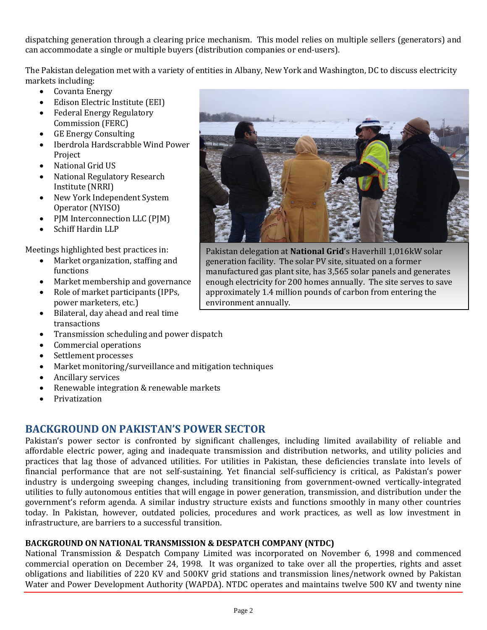dispatching generation through a clearing price mechanism. This model relies on multiple sellers (generators) and can accommodate a single or multiple buyers (distribution companies or end-users).

The Pakistan delegation met with a variety of entities in Albany, New York and Washington, DC to discuss electricity markets including:

- Covanta Energy
- Edison Electric Institute (EEI)
- Federal Energy Regulatory Commission (FERC)
- GE Energy Consulting
- Iberdrola Hardscrabble Wind Power Project
- National Grid US
- National Regulatory Research Institute (NRRI)
- New York Independent System Operator (NYISO)
- PJM Interconnection LLC (PJM)
- Schiff Hardin LLP

Meetings highlighted best practices in:

- Market organization, staffing and functions
- Market membership and governance
- Role of market participants (IPPs, power marketers, etc.)
- Bilateral, day ahead and real time transactions
- Transmission scheduling and power dispatch
- Commercial operations
- Settlement processes
- Market monitoring/surveillance and mitigation techniques
- Ancillary services
- Renewable integration & renewable markets
- Privatization

## **BACKGROUND ON PAKISTAN'S POWER SECTOR**

Pakistan's power sector is confronted by significant challenges, including limited availability of reliable and affordable electric power, aging and inadequate transmission and distribution networks, and utility policies and practices that lag those of advanced utilities. For utilities in Pakistan, these deficiencies translate into levels of financial performance that are not self-sustaining. Yet financial self-sufficiency is critical, as Pakistan's power industry is undergoing sweeping changes, including transitioning from government-owned vertically-integrated utilities to fully autonomous entities that will engage in power generation, transmission, and distribution under the government's reform agenda. A similar industry structure exists and functions smoothly in many other countries today. In Pakistan, however, outdated policies, procedures and work practices, as well as low investment in infrastructure, are barriers to a successful transition.

#### **BACKGROUND ON NATIONAL TRANSMISSION & DESPATCH COMPANY (NTDC)**

National Transmission & Despatch Company Limited was incorporated on November 6, 1998 and commenced commercial operation on December 24, 1998. It was organized to take over all the properties, rights and asset obligations and liabilities of 220 KV and 500KV grid stations and transmission lines/network owned by Pakistan Water and Power Development Authority (WAPDA). NTDC operates and maintains twelve 500 KV and twenty nine



Pakistan delegation at **National Grid**'s Haverhill 1,016kW solar generation facility. The solar PV site, situated on a former manufactured gas plant site, has 3,565 solar panels and generates enough electricity for 200 homes annually. The site serves to save approximately 1.4 million pounds of carbon from entering the environment annually.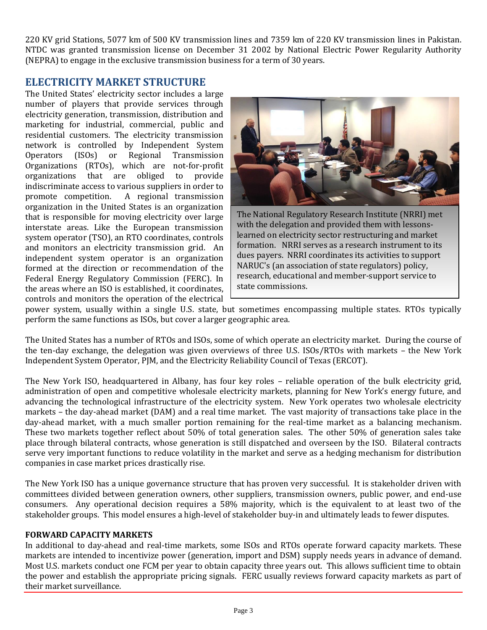220 KV grid Stations, 5077 km of 500 KV transmission lines and 7359 km of 220 KV transmission lines in Pakistan. NTDC was granted transmission license on December 31 2002 by National Electric Power Regularity Authority (NEPRA) to engage in the exclusive transmission business for a term of 30 years.

## **ELECTRICITY MARKET STRUCTURE**

The United States' electricity sector includes a large number of players that provide services through electricity generation, transmission, distribution and marketing for industrial, commercial, public and residential customers. The electricity transmission network is controlled by Independent System Operators (ISOs) or Regional Transmission Organizations (RTOs), which are not-for-profit organizations that are obliged to provide indiscriminate access to various suppliers in order to promote competition. A regional transmission organization in the United States is an organization that is responsible for moving electricity over large interstate areas. Like the European transmission system operator (TSO), an RTO coordinates, controls and monitors an electricity transmission grid. An independent system operator is an organization formed at the direction or recommendation of the Federal Energy Regulatory Commission (FERC). In the areas where an ISO is established, it coordinates, controls and monitors the operation of the electrical



The National Regulatory Research Institute (NRRI) met with the delegation and provided them with lessonslearned on electricity sector restructuring and market formation. NRRI serves as a research instrument to its dues payers. NRRI coordinates its activities to support NARUC's (an association of state regulators) policy, research, educational and member-support service to state commissions.

power system, usually within a single U.S. state, but sometimes encompassing multiple states. RTOs typically perform the same functions as ISOs, but cover a larger geographic area.

The United States has a number of RTOs and ISOs, some of which operate an electricity market. During the course of the ten-day exchange, the delegation was given overviews of three U.S. ISOs/RTOs with markets – the New York Independent System Operator, PJM, and the Electricity Reliability Council of Texas (ERCOT).

The New York ISO, headquartered in Albany, has four key roles – reliable operation of the bulk electricity grid, administration of open and competitive wholesale electricity markets, planning for New York's energy future, and advancing the technological infrastructure of the electricity system. New York operates two wholesale electricity markets – the day-ahead market (DAM) and a real time market. The vast majority of transactions take place in the day-ahead market, with a much smaller portion remaining for the real-time market as a balancing mechanism. These two markets together reflect about 50% of total generation sales. The other 50% of generation sales take place through bilateral contracts, whose generation is still dispatched and overseen by the ISO. Bilateral contracts serve very important functions to reduce volatility in the market and serve as a hedging mechanism for distribution companies in case market prices drastically rise.

The New York ISO has a unique governance structure that has proven very successful. It is stakeholder driven with committees divided between generation owners, other suppliers, transmission owners, public power, and end-use consumers. Any operational decision requires a 58% majority, which is the equivalent to at least two of the stakeholder groups. This model ensures a high-level of stakeholder buy-in and ultimately leads to fewer disputes.

#### **FORWARD CAPACITY MARKETS**

In additional to day-ahead and real-time markets, some ISOs and RTOs operate forward capacity markets. These markets are intended to incentivize power (generation, import and DSM) supply needs years in advance of demand. Most U.S. markets conduct one FCM per year to obtain capacity three years out. This allows sufficient time to obtain the power and establish the appropriate pricing signals. FERC usually reviews forward capacity markets as part of their market surveillance.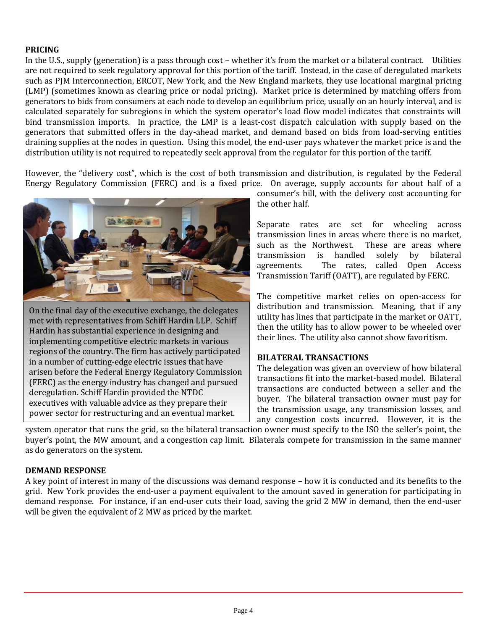#### **PRICING**

In the U.S., supply (generation) is a pass through cost – whether it's from the market or a bilateral contract. Utilities are not required to seek regulatory approval for this portion of the tariff. Instead, in the case of deregulated markets such as PJM Interconnection, ERCOT, New York, and the New England markets, they use locational marginal pricing (LMP) (sometimes known as clearing price or nodal pricing). Market price is determined by matching offers from generators to bids from consumers at each node to develop an equilibrium price, usually on an hourly interval, and is calculated separately for subregions in which the system operator's load flow model indicates that constraints will bind transmission imports. In practice, the LMP is a least-cost dispatch calculation with supply based on the generators that submitted offers in the day-ahead market, and demand based on bids from load-serving entities draining supplies at the nodes in question. Using this model, the end-user pays whatever the market price is and the distribution utility is not required to repeatedly seek approval from the regulator for this portion of the tariff.

However, the "delivery cost", which is the cost of both transmission and distribution, is regulated by the Federal Energy Regulatory Commission (FERC) and is a fixed price. On average, supply accounts for about half of a



On the final day of the executive exchange, the delegates met with representatives from Schiff Hardin LLP. Schiff Hardin has substantial experience in designing and implementing competitive electric markets in various regions of the country. The firm has actively participated in a number of cutting-edge electric issues that have arisen before the Federal Energy Regulatory Commission (FERC) as the energy industry has changed and pursued deregulation. Schiff Hardin provided the NTDC executives with valuable advice as they prepare their power sector for restructuring and an eventual market.

consumer's bill, with the delivery cost accounting for the other half.

Separate rates are set for wheeling across transmission lines in areas where there is no market, such as the Northwest. These are areas where transmission is handled solely by bilateral agreements. The rates, called Open Access Transmission Tariff (OATT), are regulated by FERC.

The competitive market relies on open-access for distribution and transmission. Meaning, that if any utility has lines that participate in the market or OATT, then the utility has to allow power to be wheeled over their lines. The utility also cannot show favoritism.

#### **BILATERAL TRANSACTIONS**

The delegation was given an overview of how bilateral transactions fit into the market-based model. Bilateral transactions are conducted between a seller and the buyer. The bilateral transaction owner must pay for the transmission usage, any transmission losses, and any congestion costs incurred. However, it is the

system operator that runs the grid, so the bilateral transaction owner must specify to the ISO the seller's point, the buyer's point, the MW amount, and a congestion cap limit. Bilaterals compete for transmission in the same manner as do generators on the system.

#### **DEMAND RESPONSE**

A key point of interest in many of the discussions was demand response – how it is conducted and its benefits to the grid. New York provides the end-user a payment equivalent to the amount saved in generation for participating in demand response. For instance, if an end-user cuts their load, saving the grid 2 MW in demand, then the end-user will be given the equivalent of 2 MW as priced by the market.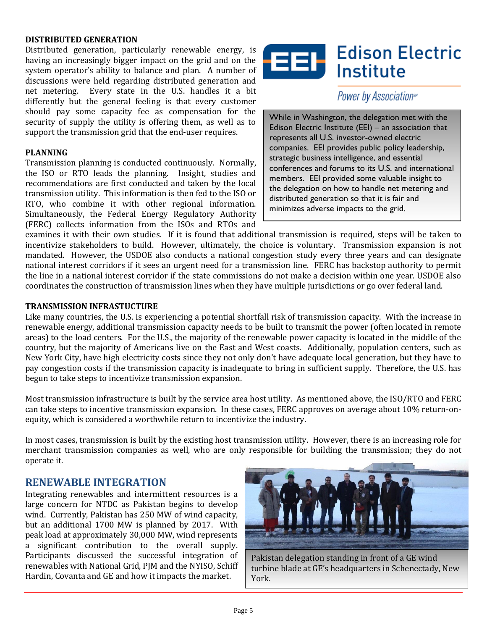#### **DISTRIBUTED GENERATION**

Distributed generation, particularly renewable energy, is having an increasingly bigger impact on the grid and on the system operator's ability to balance and plan. A number of discussions were held regarding distributed generation and net metering. Every state in the U.S. handles it a bit differently but the general feeling is that every customer should pay some capacity fee as compensation for the security of supply the utility is offering them, as well as to support the transmission grid that the end-user requires.

#### **PLANNING**

Transmission planning is conducted continuously. Normally, the ISO or RTO leads the planning. Insight, studies and recommendations are first conducted and taken by the local transmission utility. This information is then fed to the ISO or RTO, who combine it with other regional information. Simultaneously, the Federal Energy Regulatory Authority (FERC) collects information from the ISOs and RTOs and



Power by Association<sup>s\*</sup>

While in Washington, the delegation met with the Edison Electric Institute (EEI) – an association that represents all U.S. investor-owned electric companies. EEI provides public policy leadership, strategic business intelligence, and essential conferences and forums to its U.S. and international members. EEI provided some valuable insight to the delegation on how to handle net metering and distributed generation so that it is fair and minimizes adverse impacts to the grid.

examines it with their own studies. If it is found that additional transmission is required, steps will be taken to incentivize stakeholders to build. However, ultimately, the choice is voluntary. Transmission expansion is not mandated. However, the USDOE also conducts a national congestion study every three years and can designate national interest corridors if it sees an urgent need for a transmission line. FERC has backstop authority to permit the line in a national interest corridor if the state commissions do not make a decision within one year. USDOE also coordinates the construction of transmission lines when they have multiple jurisdictions or go over federal land.

#### **TRANSMISSION INFRASTUCTURE**

Like many countries, the U.S. is experiencing a potential shortfall risk of transmission capacity. With the increase in renewable energy, additional transmission capacity needs to be built to transmit the power (often located in remote areas) to the load centers. For the U.S., the majority of the renewable power capacity is located in the middle of the country, but the majority of Americans live on the East and West coasts. Additionally, population centers, such as New York City, have high electricity costs since they not only don't have adequate local generation, but they have to pay congestion costs if the transmission capacity is inadequate to bring in sufficient supply. Therefore, the U.S. has begun to take steps to incentivize transmission expansion.

Most transmission infrastructure is built by the service area host utility. As mentioned above, the ISO/RTO and FERC can take steps to incentive transmission expansion. In these cases, FERC approves on average about 10% return-onequity, which is considered a worthwhile return to incentivize the industry.

In most cases, transmission is built by the existing host transmission utility. However, there is an increasing role for merchant transmission companies as well, who are only responsible for building the transmission; they do not operate it.

### **RENEWABLE INTEGRATION**

Integrating renewables and intermittent resources is a large concern for NTDC as Pakistan begins to develop wind. Currently, Pakistan has 250 MW of wind capacity, but an additional 1700 MW is planned by 2017. With peak load at approximately 30,000 MW, wind represents a significant contribution to the overall supply. Participants discussed the successful integration of renewables with National Grid, PJM and the NYISO, Schiff Hardin, Covanta and GE and how it impacts the market.



Pakistan delegation standing in front of a GE wind turbine blade at GE's headquarters in Schenectady, New York.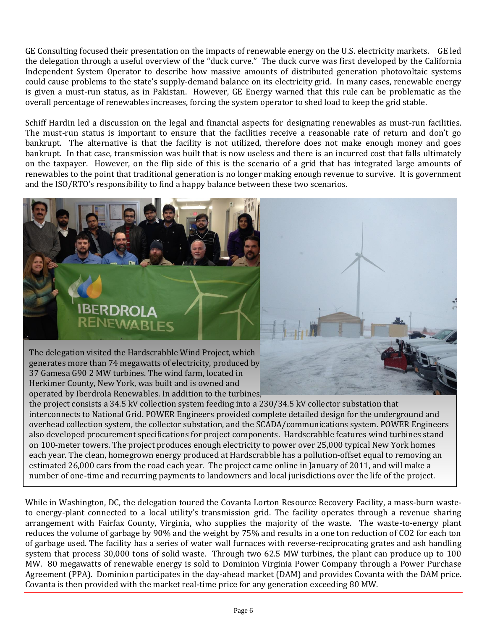GE Consulting focused their presentation on the impacts of renewable energy on the U.S. electricity markets. GE led the delegation through a useful overview of the "duck curve." The duck curve was first developed by the California Independent System Operator to describe how massive amounts of distributed generation photovoltaic systems could cause problems to the state's supply-demand balance on its electricity grid. In many cases, renewable energy is given a must-run status, as in Pakistan. However, GE Energy warned that this rule can be problematic as the overall percentage of renewables increases, forcing the system operator to shed load to keep the grid stable.

Schiff Hardin led a discussion on the legal and financial aspects for designating renewables as must-run facilities. The must-run status is important to ensure that the facilities receive a reasonable rate of return and don't go bankrupt. The alternative is that the facility is not utilized, therefore does not make enough money and goes bankrupt. In that case, transmission was built that is now useless and there is an incurred cost that falls ultimately on the taxpayer. However, on the flip side of this is the scenario of a grid that has integrated large amounts of renewables to the point that traditional generation is no longer making enough revenue to survive. It is government and the ISO/RTO's responsibility to find a happy balance between these two scenarios.



Herkimer County, New York, was built and is owned and operated by Iberdrola Renewables. In addition to the turbines, the project consists a 34.5 kV collection system feeding into a 230/34.5 kV collector substation that interconnects to National Grid. POWER Engineers provided complete detailed design for the underground and overhead collection system, the collector substation, and the SCADA/communications system. POWER Engineers also developed procurement specifications for project components. Hardscrabble features wind turbines stand on 100-meter towers. The project produces enough electricity to power over 25,000 typical New York homes each year. The clean, homegrown energy produced at Hardscrabble has a pollution-offset equal to removing an estimated 26,000 cars from the road each year. The project came online in January of 2011, and will make a number of one-time and recurring payments to landowners and local jurisdictions over the life of the project.

While in Washington, DC, the delegation toured the Covanta Lorton Resource Recovery Facility, a mass-burn wasteto energy-plant connected to a local utility's transmission grid. The facility operates through a revenue sharing arrangement with Fairfax County, Virginia, who supplies the majority of the waste. The waste-to-energy plant reduces the volume of garbage by 90% and the weight by 75% and results in a one ton reduction of CO2 for each ton of garbage used. The facility has a series of water wall furnaces with reverse-reciprocating grates and ash handling system that process 30,000 tons of solid waste. Through two 62.5 MW turbines, the plant can produce up to 100 MW. 80 megawatts of renewable energy is sold to Dominion Virginia Power Company through a Power Purchase Agreement (PPA). Dominion participates in the day-ahead market (DAM) and provides Covanta with the DAM price. Covanta is then provided with the market real-time price for any generation exceeding 80 MW.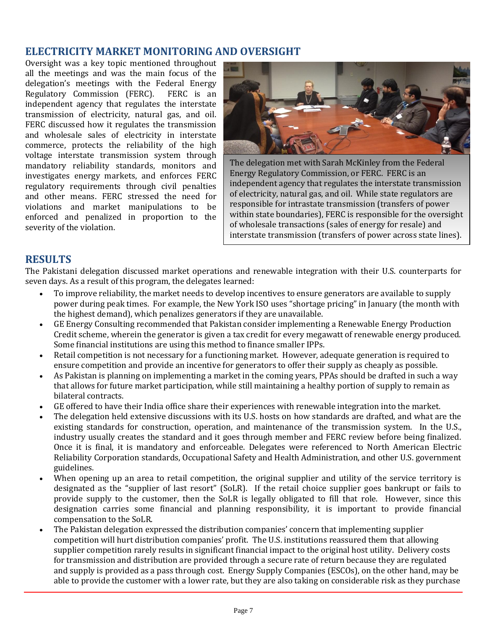## **ELECTRICITY MARKET MONITORING AND OVERSIGHT**

Oversight was a key topic mentioned throughout all the meetings and was the main focus of the delegation's meetings with the Federal Energy Regulatory Commission (FERC). FERC is an independent agency that regulates the interstate transmission of electricity, natural gas, and oil. FERC discussed how it regulates the transmission and wholesale sales of electricity in interstate commerce, protects the reliability of the high voltage interstate transmission system through mandatory reliability standards, monitors and investigates energy markets, and enforces FERC regulatory requirements through civil penalties and other means. FERC stressed the need for violations and market manipulations to be enforced and penalized in proportion to the severity of the violation.



The delegation met with Sarah McKinley from the Federal Energy Regulatory Commission, or FERC. FERC is an independent agency that regulates the interstate transmission of electricity, natural gas, and oil. While state regulators are responsible for intrastate transmission (transfers of power within state boundaries), FERC is responsible for the oversight of wholesale transactions (sales of energy for resale) and interstate transmission (transfers of power across state lines).

## **RESULTS**

The Pakistani delegation discussed market operations and renewable integration with their U.S. counterparts for seven days. As a result of this program, the delegates learned:

- To improve reliability, the market needs to develop incentives to ensure generators are available to supply power during peak times. For example, the New York ISO uses "shortage pricing" in January (the month with the highest demand), which penalizes generators if they are unavailable.
- GE Energy Consulting recommended that Pakistan consider implementing a Renewable Energy Production Credit scheme, wherein the generator is given a tax credit for every megawatt of renewable energy produced. Some financial institutions are using this method to finance smaller IPPs.
- Retail competition is not necessary for a functioning market. However, adequate generation is required to ensure competition and provide an incentive for generators to offer their supply as cheaply as possible.
- As Pakistan is planning on implementing a market in the coming years, PPAs should be drafted in such a way that allows for future market participation, while still maintaining a healthy portion of supply to remain as bilateral contracts.
- GE offered to have their India office share their experiences with renewable integration into the market.
- The delegation held extensive discussions with its U.S. hosts on how standards are drafted, and what are the existing standards for construction, operation, and maintenance of the transmission system. In the U.S., industry usually creates the standard and it goes through member and FERC review before being finalized. Once it is final, it is mandatory and enforceable. Delegates were referenced to North American Electric Reliability Corporation standards, Occupational Safety and Health Administration, and other U.S. government guidelines.
- When opening up an area to retail competition, the original supplier and utility of the service territory is designated as the "supplier of last resort" (SoLR). If the retail choice supplier goes bankrupt or fails to provide supply to the customer, then the SoLR is legally obligated to fill that role. However, since this designation carries some financial and planning responsibility, it is important to provide financial compensation to the SoLR.
- The Pakistan delegation expressed the distribution companies' concern that implementing supplier competition will hurt distribution companies' profit. The U.S. institutions reassured them that allowing supplier competition rarely results in significant financial impact to the original host utility. Delivery costs for transmission and distribution are provided through a secure rate of return because they are regulated and supply is provided as a pass through cost. Energy Supply Companies (ESCOs), on the other hand, may be able to provide the customer with a lower rate, but they are also taking on considerable risk as they purchase